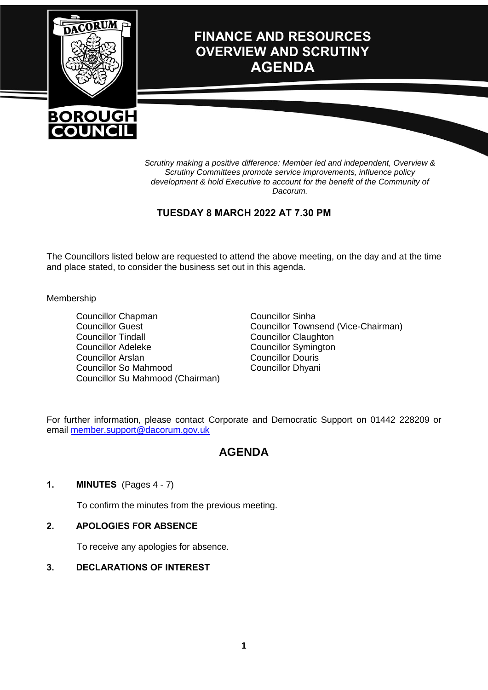

*Scrutiny making a positive difference: Member led and independent, Overview & Scrutiny Committees promote service improvements, influence policy development & hold Executive to account for the benefit of the Community of Dacorum.*

### **TUESDAY 8 MARCH 2022 AT 7.30 PM**

The Councillors listed below are requested to attend the above meeting, on the day and at the time and place stated, to consider the business set out in this agenda.

#### Membership

Councillor Chapman Councillor Guest Councillor Tindall Councillor Adeleke Councillor Arslan Councillor So Mahmood Councillor Su Mahmood (Chairman) Councillor Sinha Councillor Townsend (Vice-Chairman) Councillor Claughton Councillor Symington Councillor Douris Councillor Dhyani

For further information, please contact Corporate and Democratic Support on 01442 228209 or email [member.support@dacorum.gov.uk](mailto:member.support@dacorum.gov.uk)

# **AGENDA**

#### **1. MINUTES** (Pages 4 - 7)

To confirm the minutes from the previous meeting.

#### **2. APOLOGIES FOR ABSENCE**

To receive any apologies for absence.

#### **3. DECLARATIONS OF INTEREST**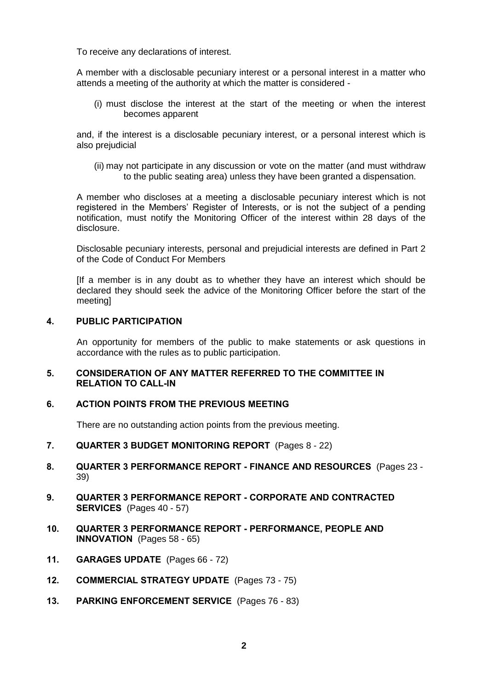To receive any declarations of interest.

A member with a disclosable pecuniary interest or a personal interest in a matter who attends a meeting of the authority at which the matter is considered -

(i) must disclose the interest at the start of the meeting or when the interest becomes apparent

and, if the interest is a disclosable pecuniary interest, or a personal interest which is also prejudicial

(ii) may not participate in any discussion or vote on the matter (and must withdraw to the public seating area) unless they have been granted a dispensation.

A member who discloses at a meeting a disclosable pecuniary interest which is not registered in the Members' Register of Interests, or is not the subject of a pending notification, must notify the Monitoring Officer of the interest within 28 days of the disclosure.

Disclosable pecuniary interests, personal and prejudicial interests are defined in Part 2 of the Code of Conduct For Members

[If a member is in any doubt as to whether they have an interest which should be declared they should seek the advice of the Monitoring Officer before the start of the meeting]

#### **4. PUBLIC PARTICIPATION**

An opportunity for members of the public to make statements or ask questions in accordance with the rules as to public participation.

#### **5. CONSIDERATION OF ANY MATTER REFERRED TO THE COMMITTEE IN RELATION TO CALL-IN**

#### **6. ACTION POINTS FROM THE PREVIOUS MEETING**

There are no outstanding action points from the previous meeting.

- **7. QUARTER 3 BUDGET MONITORING REPORT** (Pages 8 22)
- **8. QUARTER 3 PERFORMANCE REPORT - FINANCE AND RESOURCES** (Pages 23 39)
- **9. QUARTER 3 PERFORMANCE REPORT - CORPORATE AND CONTRACTED SERVICES** (Pages 40 - 57)
- **10. QUARTER 3 PERFORMANCE REPORT - PERFORMANCE, PEOPLE AND INNOVATION** (Pages 58 - 65)
- **11. GARAGES UPDATE** (Pages 66 72)
- **12. COMMERCIAL STRATEGY UPDATE** (Pages 73 75)
- **13. PARKING ENFORCEMENT SERVICE** (Pages 76 83)